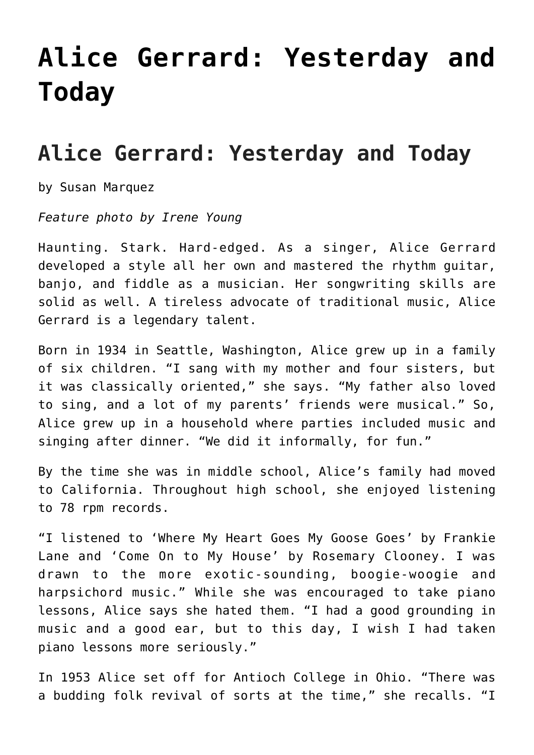## **[Alice Gerrard: Yesterday and](https://thebluegrassstandard.com/alice-gerrard-yesterday-and-today/) [Today](https://thebluegrassstandard.com/alice-gerrard-yesterday-and-today/)**

## **Alice Gerrard: Yesterday and Today**

by Susan Marquez

*Feature photo by Irene Young*

Haunting. Stark. Hard-edged. As a singer, Alice Gerrard developed a style all her own and mastered the rhythm guitar, banjo, and fiddle as a musician. Her songwriting skills are solid as well. A tireless advocate of traditional music, Alice Gerrard is a legendary talent.

Born in 1934 in Seattle, Washington, Alice grew up in a family of six children. "I sang with my mother and four sisters, but it was classically oriented," she says. "My father also loved to sing, and a lot of my parents' friends were musical." So, Alice grew up in a household where parties included music and singing after dinner. "We did it informally, for fun."

By the time she was in middle school, Alice's family had moved to California. Throughout high school, she enjoyed listening to 78 rpm records.

"I listened to 'Where My Heart Goes My Goose Goes' by Frankie Lane and 'Come On to My House' by Rosemary Clooney. I was drawn to the more exotic-sounding, boogie-woogie and harpsichord music." While she was encouraged to take piano lessons, Alice says she hated them. "I had a good grounding in music and a good ear, but to this day, I wish I had taken piano lessons more seriously."

In 1953 Alice set off for Antioch College in Ohio. "There was a budding folk revival of sorts at the time," she recalls. "I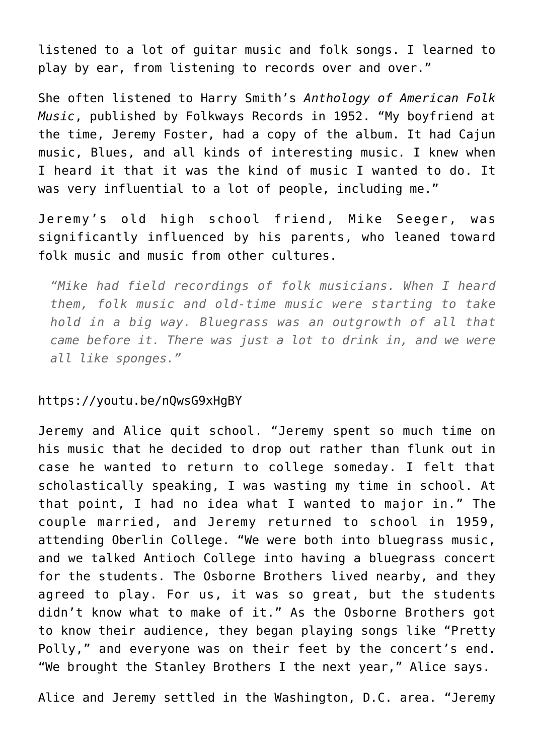listened to a lot of guitar music and folk songs. I learned to play by ear, from listening to records over and over."

She often listened to Harry Smith's *Anthology of American Folk Music*, published by Folkways Records in 1952. "My boyfriend at the time, Jeremy Foster, had a copy of the album. It had Cajun music, Blues, and all kinds of interesting music. I knew when I heard it that it was the kind of music I wanted to do. It was very influential to a lot of people, including me."

Jeremy's old high school friend, Mike Seeger, was significantly influenced by his parents, who leaned toward folk music and music from other cultures.

*"Mike had field recordings of folk musicians. When I heard them, folk music and old-time music were starting to take hold in a big way. Bluegrass was an outgrowth of all that came before it. There was just a lot to drink in, and we were all like sponges."*

## https://youtu.be/nQwsG9xHgBY

Jeremy and Alice quit school. "Jeremy spent so much time on his music that he decided to drop out rather than flunk out in case he wanted to return to college someday. I felt that scholastically speaking, I was wasting my time in school. At that point, I had no idea what I wanted to major in." The couple married, and Jeremy returned to school in 1959, attending Oberlin College. "We were both into bluegrass music, and we talked Antioch College into having a bluegrass concert for the students. The Osborne Brothers lived nearby, and they agreed to play. For us, it was so great, but the students didn't know what to make of it." As the Osborne Brothers got to know their audience, they began playing songs like "Pretty Polly," and everyone was on their feet by the concert's end. "We brought the Stanley Brothers I the next year," Alice says.

Alice and Jeremy settled in the Washington, D.C. area. "Jeremy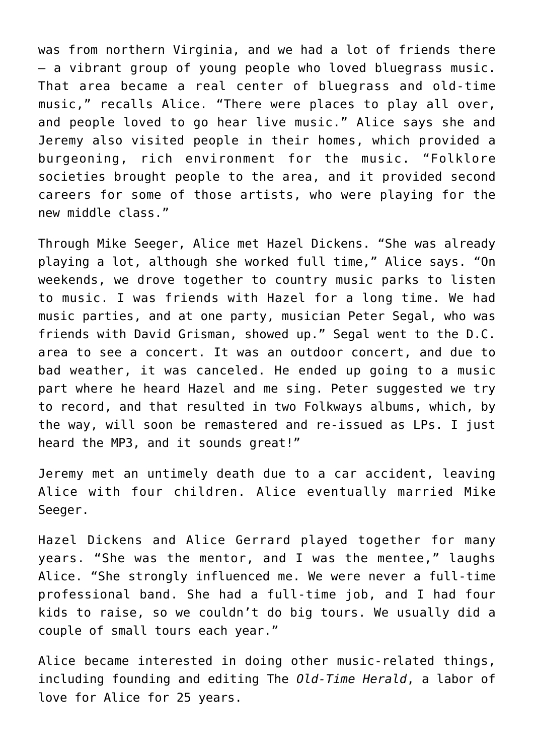was from northern Virginia, and we had a lot of friends there – a vibrant group of young people who loved bluegrass music. That area became a real center of bluegrass and old-time music," recalls Alice. "There were places to play all over, and people loved to go hear live music." Alice says she and Jeremy also visited people in their homes, which provided a burgeoning, rich environment for the music. "Folklore societies brought people to the area, and it provided second careers for some of those artists, who were playing for the new middle class."

Through Mike Seeger, Alice met Hazel Dickens. "She was already playing a lot, although she worked full time," Alice says. "On weekends, we drove together to country music parks to listen to music. I was friends with Hazel for a long time. We had music parties, and at one party, musician Peter Segal, who was friends with David Grisman, showed up." Segal went to the D.C. area to see a concert. It was an outdoor concert, and due to bad weather, it was canceled. He ended up going to a music part where he heard Hazel and me sing. Peter suggested we try to record, and that resulted in two Folkways albums, which, by the way, will soon be remastered and re-issued as LPs. I just heard the MP3, and it sounds great!"

Jeremy met an untimely death due to a car accident, leaving Alice with four children. Alice eventually married Mike Seeger.

Hazel Dickens and Alice Gerrard played together for many years. "She was the mentor, and I was the mentee," laughs Alice. "She strongly influenced me. We were never a full-time professional band. She had a full-time job, and I had four kids to raise, so we couldn't do big tours. We usually did a couple of small tours each year."

Alice became interested in doing other music-related things, including founding and editing The *Old-Time Herald*, a labor of love for Alice for 25 years.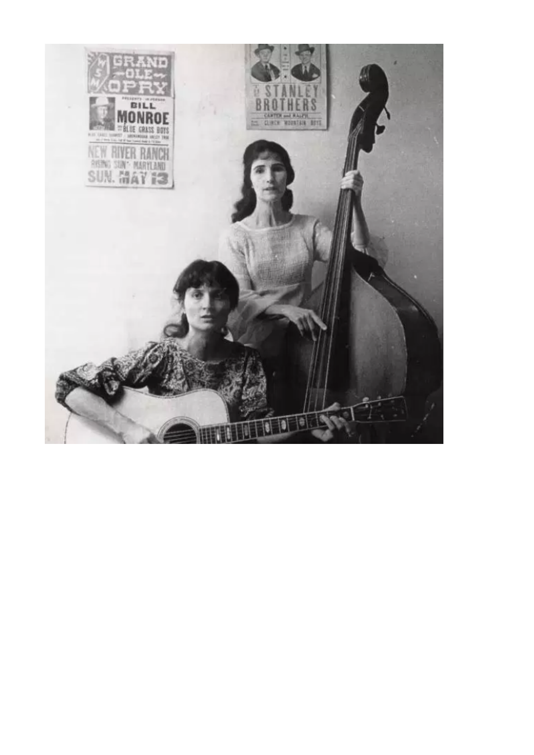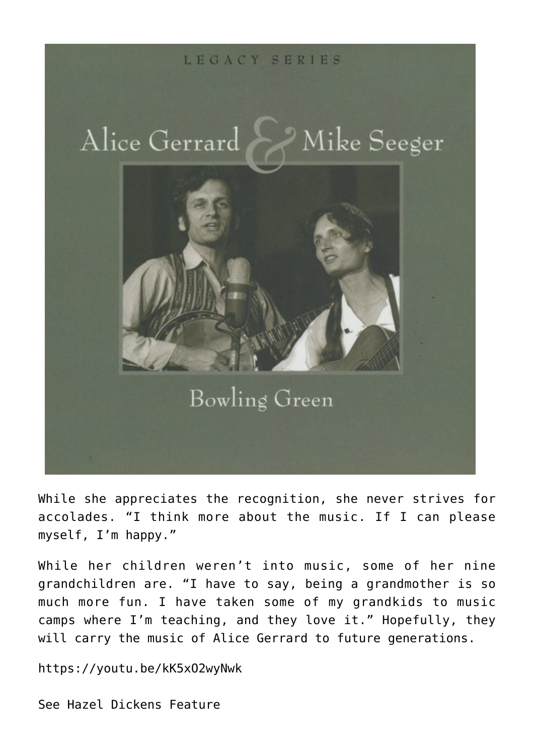

While she appreciates the recognition, she never strives for accolades. "I think more about the music. If I can please myself, I'm happy."

While her children weren't into music, some of her nine grandchildren are. "I have to say, being a grandmother is so much more fun. I have taken some of my grandkids to music camps where I'm teaching, and they love it." Hopefully, they will carry the music of Alice Gerrard to future generations.

https://youtu.be/kK5xO2wyNwk

[See Hazel Dickens Feature](https://thebluegrassstandard.com/hazel-dickens-the-singer-and-the-song/)